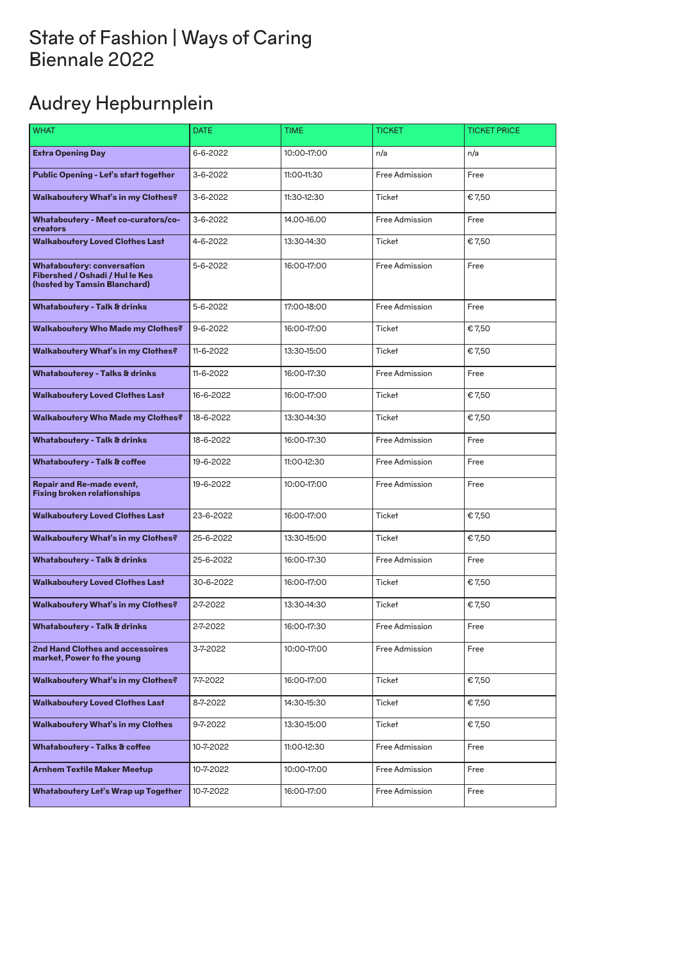# Audrey Hepburnplein

| <b>WHAT</b>                                                                                                 | <b>DATE</b>    | <b>TIME</b> | <b>TICKET</b>  | <b>TICKET PRICE</b> |
|-------------------------------------------------------------------------------------------------------------|----------------|-------------|----------------|---------------------|
| <b>Extra Opening Day</b>                                                                                    | 6-6-2022       | 10:00-17:00 | n/a            | n/a                 |
| <b>Public Opening - Let's start together</b>                                                                | 3-6-2022       | 11:00-11:30 | Free Admission | Free                |
| Walkaboutery What's in my Clothes?                                                                          | 3-6-2022       | 11:30-12:30 | <b>Ticket</b>  | €7,50               |
| <b>Whataboutery - Meet co-curators/co-</b><br>creators                                                      | 3-6-2022       | 14.00-16.00 | Free Admission | Free                |
| <b>Walkaboutery Loved Clothes Last</b>                                                                      | 4-6-2022       | 13:30-14:30 | <b>Ticket</b>  | €7,50               |
| <b>Whataboutery: conversation</b><br><b>Fibershed / Oshadi / Hul le Kes</b><br>(hosted by Tamsin Blanchard) | 5-6-2022       | 16:00-17:00 | Free Admission | Free                |
| <b>Whataboutery - Talk &amp; drinks</b>                                                                     | 5-6-2022       | 17:00-18:00 | Free Admission | Free                |
| <b>Walkaboutery Who Made my Clothes?</b>                                                                    | $9 - 6 - 2022$ | 16:00-17:00 | <b>Ticket</b>  | €7,50               |
| <b>Walkaboutery What's in my Clothes?</b>                                                                   | 11-6-2022      | 13:30-15:00 | <b>Ticket</b>  | €7,50               |
| <b>Whatabouterey - Talks &amp; drinks</b>                                                                   | 11-6-2022      | 16:00-17:30 | Free Admission | Free                |
| <b>Walkaboutery Loved Clothes Last</b>                                                                      | 16-6-2022      | 16:00-17:00 | <b>Ticket</b>  | €7,50               |
| <b>Walkaboutery Who Made my Clothes?</b>                                                                    | 18-6-2022      | 13:30-14:30 | <b>Ticket</b>  | €7,50               |
| <b>Whataboutery - Talk &amp; drinks</b>                                                                     | 18-6-2022      | 16:00-17:30 | Free Admission | Free                |
| <b>Whataboutery - Talk &amp; coffee</b>                                                                     | 19-6-2022      | 11:00-12:30 | Free Admission | Free                |
| <b>Repair and Re-made event,</b><br><b>Fixing broken relationships</b>                                      | 19-6-2022      | 10:00-17:00 | Free Admission | Free                |
| <b>Walkaboutery Loved Clothes Last</b>                                                                      | 23-6-2022      | 16:00-17:00 | <b>Ticket</b>  | €7,50               |
| Walkaboutery What's in my Clothes?                                                                          | 25-6-2022      | 13:30-15:00 | <b>Ticket</b>  | €7,50               |
| <b>Whataboutery - Talk &amp; drinks</b>                                                                     | 25-6-2022      | 16:00-17:30 | Free Admission | Free                |
| <b>Walkaboutery Loved Clothes Last</b>                                                                      | 30-6-2022      | 16:00-17:00 | <b>Ticket</b>  | €7,50               |
| <b>Walkaboutery What's in my Clothes?</b>                                                                   | 2-7-2022       | 13:30-14:30 | <b>Ticket</b>  | €7,50               |
| <b>Whataboutery - Talk &amp; drinks</b>                                                                     | 2-7-2022       | 16:00-17:30 | Free Admission | Free                |
| <b>2nd Hand Clothes and accessoires</b><br>market, Power to the young                                       | 3-7-2022       | 10:00-17:00 | Free Admission | Free                |
| <b>Walkaboutery What's in my Clothes?</b>                                                                   | 7-7-2022       | 16:00-17:00 | <b>Ticket</b>  | €7,50               |
| <b>Walkaboutery Loved Clothes Last</b>                                                                      | 8-7-2022       | 14:30-15:30 | <b>Ticket</b>  | €7,50               |
| <b>Walkaboutery What's in my Clothes</b>                                                                    | 9-7-2022       | 13:30-15:00 | <b>Ticket</b>  | €7,50               |
| <b>Whataboutery - Talks &amp; coffee</b>                                                                    | 10-7-2022      | 11:00-12:30 | Free Admission | Free                |
| <b>Arnhem Textile Maker Meetup</b>                                                                          | 10-7-2022      | 10:00-17:00 | Free Admission | Free                |
| <b>Whataboutery Let's Wrap up Together</b>                                                                  | 10-7-2022      | 16:00-17:00 | Free Admission | Free                |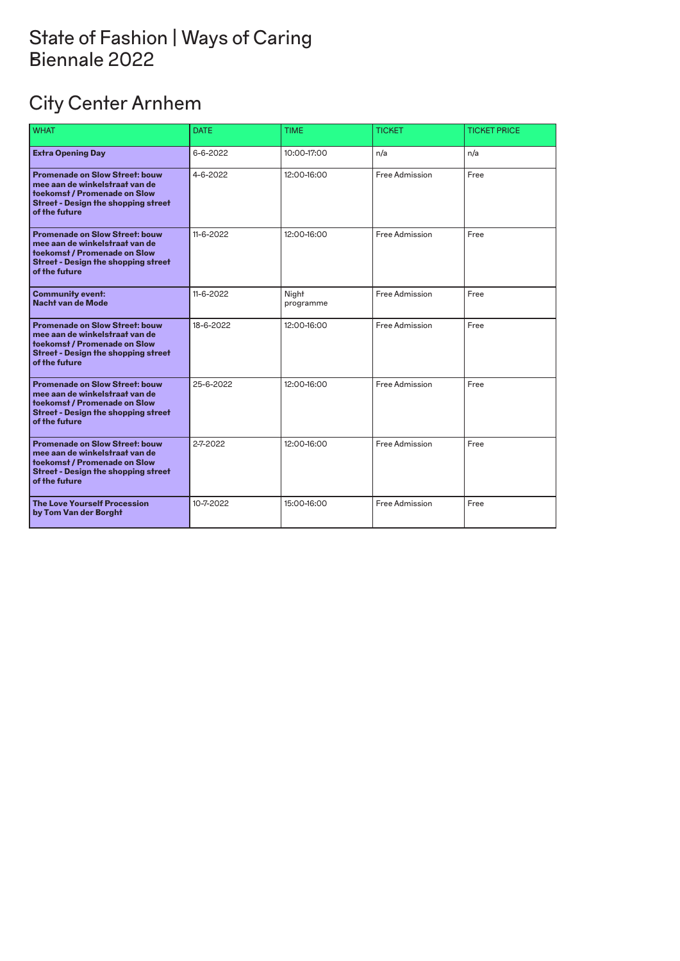# City Center Arnhem

| <b>WHAT</b>                                                                                                                                                            | <b>DATE</b>    | <b>TIME</b>        | <b>TICKET</b>  | <b>TICKET PRICE</b> |
|------------------------------------------------------------------------------------------------------------------------------------------------------------------------|----------------|--------------------|----------------|---------------------|
| <b>Extra Opening Day</b>                                                                                                                                               | $6 - 6 - 2022$ | 10:00-17:00        | n/a            | n/a                 |
| <b>Promenade on Slow Street: bouw</b><br>mee aan de winkelstraat van de<br>toekomst / Promenade on Slow<br><b>Street - Design the shopping street</b><br>of the future | 4-6-2022       | 12:00-16:00        | Free Admission | Free                |
| <b>Promenade on Slow Street: bouw</b><br>mee aan de winkelstraat van de<br>toekomst / Promenade on Slow<br><b>Street - Design the shopping street</b><br>of the future | 11-6-2022      | 12:00-16:00        | Free Admission | Free                |
| <b>Community event:</b><br><b>Nacht van de Mode</b>                                                                                                                    | 11-6-2022      | Night<br>programme | Free Admission | Free                |
| <b>Promenade on Slow Street: bouw</b><br>mee aan de winkelstraat van de<br>toekomst / Promenade on Slow<br><b>Street - Design the shopping street</b><br>of the future | 18-6-2022      | 12:00-16:00        | Free Admission | Free                |
| <b>Promenade on Slow Street: bouw</b><br>mee aan de winkelstraat van de<br>toekomst / Promenade on Slow<br><b>Street - Design the shopping street</b><br>of the future | 25-6-2022      | 12:00-16:00        | Free Admission | Free                |
| <b>Promenade on Slow Street: bouw</b><br>mee aan de winkelstraat van de<br>toekomst / Promenade on Slow<br><b>Street - Design the shopping street</b><br>of the future | 2-7-2022       | 12:00-16:00        | Free Admission | Free                |
| <b>The Love Yourself Procession</b><br>by Tom Van der Borght                                                                                                           | 10-7-2022      | 15:00-16:00        | Free Admission | Free                |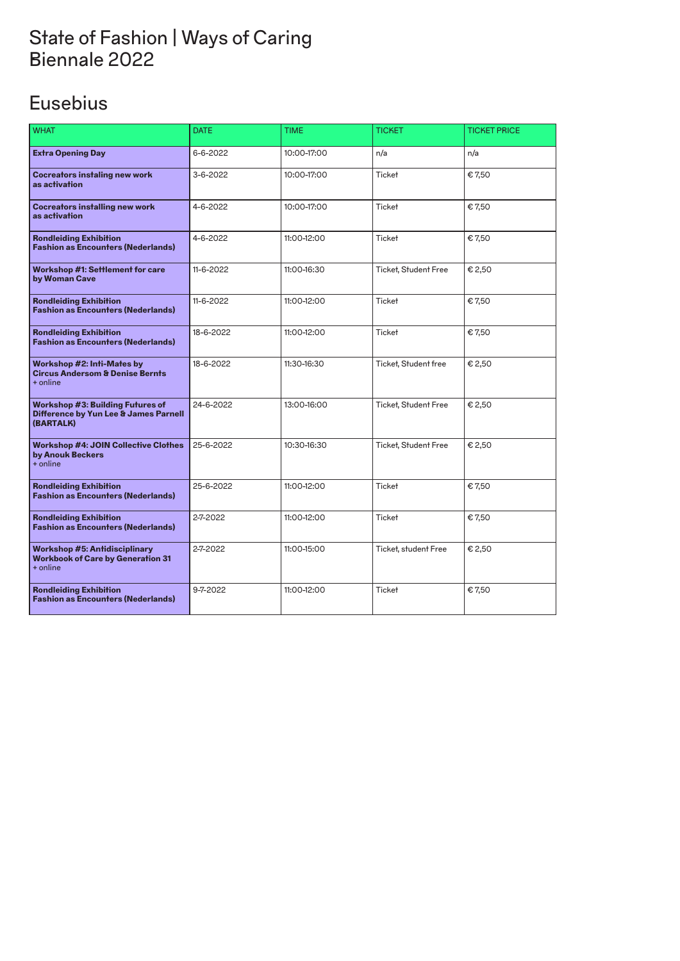### Eusebius

| <b>WHAT</b>                                                                                   | <b>DATE</b> | <b>TIME</b> | <b>TICKET</b>               | <b>TICKET PRICE</b> |
|-----------------------------------------------------------------------------------------------|-------------|-------------|-----------------------------|---------------------|
| <b>Extra Opening Day</b>                                                                      | 6-6-2022    | 10:00-17:00 | n/a                         | n/a                 |
| <b>Cocreators instaling new work</b><br>as activation                                         | 3-6-2022    | 10:00-17:00 | <b>Ticket</b>               | €7,50               |
| <b>Cocreators installing new work</b><br>as activation                                        | 4-6-2022    | 10:00-17:00 | <b>Ticket</b>               | €7,50               |
| <b>Rondleiding Exhibition</b><br><b>Fashion as Encounters (Nederlands)</b>                    | 4-6-2022    | 11:00-12:00 | <b>Ticket</b>               | €7,50               |
| <b>Workshop #1: Settlement for care</b><br>by Woman Cave                                      | 11-6-2022   | 11:00-16:30 | <b>Ticket, Student Free</b> | € 2,50              |
| <b>Rondleiding Exhibition</b><br><b>Fashion as Encounters (Nederlands)</b>                    | 11-6-2022   | 11:00-12:00 | <b>Ticket</b>               | €7,50               |
| <b>Rondleiding Exhibition</b><br><b>Fashion as Encounters (Nederlands)</b>                    | 18-6-2022   | 11:00-12:00 | <b>Ticket</b>               | €7,50               |
| Workshop #2: Inti-Mates by<br><b>Circus Andersom &amp; Denise Bernts</b><br>+ online          | 18-6-2022   | 11:30-16:30 | Ticket, Student free        | € 2,50              |
| <b>Workshop #3: Building Futures of</b><br>Difference by Yun Lee & James Parnell<br>(BARTALK) | 24-6-2022   | 13:00-16:00 | <b>Ticket, Student Free</b> | € 2,50              |
| <b>Workshop #4: JOIN Collective Clothes</b><br>by Anouk Beckers<br>+ online                   | 25-6-2022   | 10:30-16:30 | <b>Ticket, Student Free</b> | € 2,50              |
| <b>Rondleiding Exhibition</b><br><b>Fashion as Encounters (Nederlands)</b>                    | 25-6-2022   | 11:00-12:00 | Ticket                      | €7,50               |
| <b>Rondleiding Exhibition</b><br><b>Fashion as Encounters (Nederlands)</b>                    | 2-7-2022    | 11:00-12:00 | <b>Ticket</b>               | €7,50               |
| <b>Workshop #5: Antidisciplinary</b><br><b>Workbook of Care by Generation 31</b><br>+ online  | 2-7-2022    | 11:00-15:00 | Ticket, student Free        | € 2,50              |
| <b>Rondleiding Exhibition</b><br><b>Fashion as Encounters (Nederlands)</b>                    | 9-7-2022    | 11:00-12:00 | <b>Ticket</b>               | €7,50               |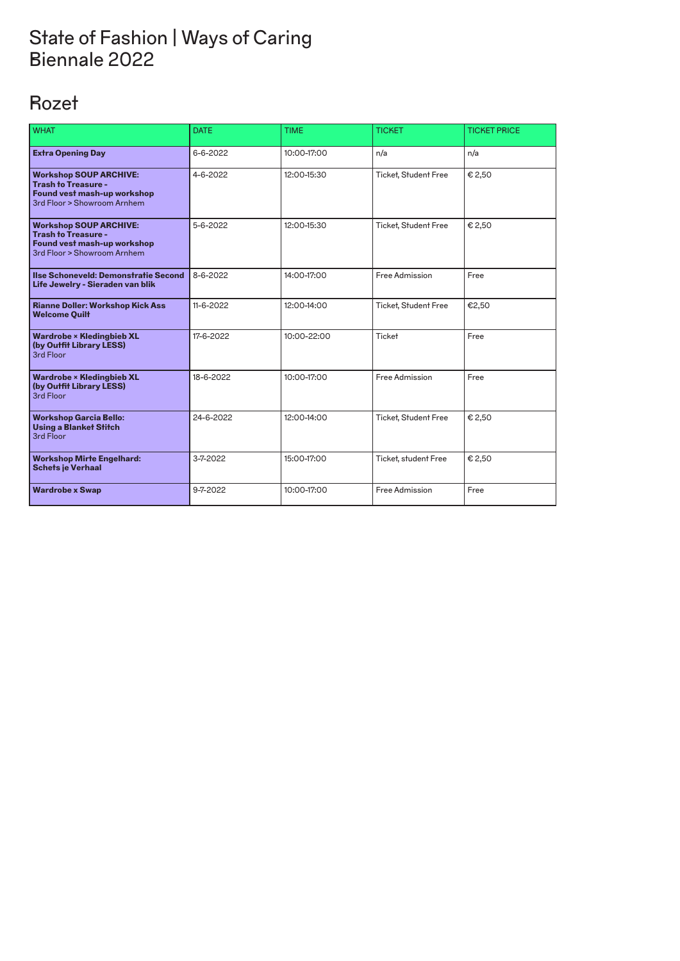# Rozet

| <b>WHAT</b>                                                                                                               | <b>DATE</b> | <b>TIME</b> | <b>TICKET</b>               | <b>TICKET PRICE</b> |
|---------------------------------------------------------------------------------------------------------------------------|-------------|-------------|-----------------------------|---------------------|
| <b>Extra Opening Day</b>                                                                                                  | 6-6-2022    | 10:00-17:00 | n/a                         | n/a                 |
| <b>Workshop SOUP ARCHIVE:</b><br><b>Trash to Treasure -</b><br>Found vest mash-up workshop<br>3rd Floor > Showroom Arnhem | 4-6-2022    | 12:00-15:30 | <b>Ticket, Student Free</b> | € 2,50              |
| <b>Workshop SOUP ARCHIVE:</b><br><b>Trash to Treasure -</b><br>Found vest mash-up workshop<br>3rd Floor > Showroom Arnhem | 5-6-2022    | 12:00-15:30 | <b>Ticket, Student Free</b> | € 2,50              |
| Ilse Schoneveld: Demonstratie Second<br>Life Jewelry - Sieraden van blik                                                  | 8-6-2022    | 14:00-17:00 | Free Admission              | Free                |
| <b>Rianne Doller: Workshop Kick Ass</b><br><b>Welcome Quilt</b>                                                           | 11-6-2022   | 12:00-14:00 | <b>Ticket, Student Free</b> | €2,50               |
| <b>Wardrobe × Kledingbieb XL</b><br>(by Outfit Library LESS)<br>3rd Floor                                                 | 17-6-2022   | 10:00-22:00 | <b>Ticket</b>               | Free                |
| <b>Wardrobe × Kledingbieb XL</b><br>(by Outfit Library LESS)<br>3rd Floor                                                 | 18-6-2022   | 10:00-17:00 | Free Admission              | Free                |
| <b>Workshop Garcia Bello:</b><br><b>Using a Blanket Stitch</b><br>3rd Floor                                               | 24-6-2022   | 12:00-14:00 | <b>Ticket, Student Free</b> | € 2,50              |
| <b>Workshop Mirte Engelhard:</b><br><b>Schets je Verhaal</b>                                                              | 3-7-2022    | 15:00-17:00 | Ticket, student Free        | € 2,50              |
| <b>Wardrobe x Swap</b>                                                                                                    | 9-7-2022    | 10:00-17:00 | Free Admission              | Free                |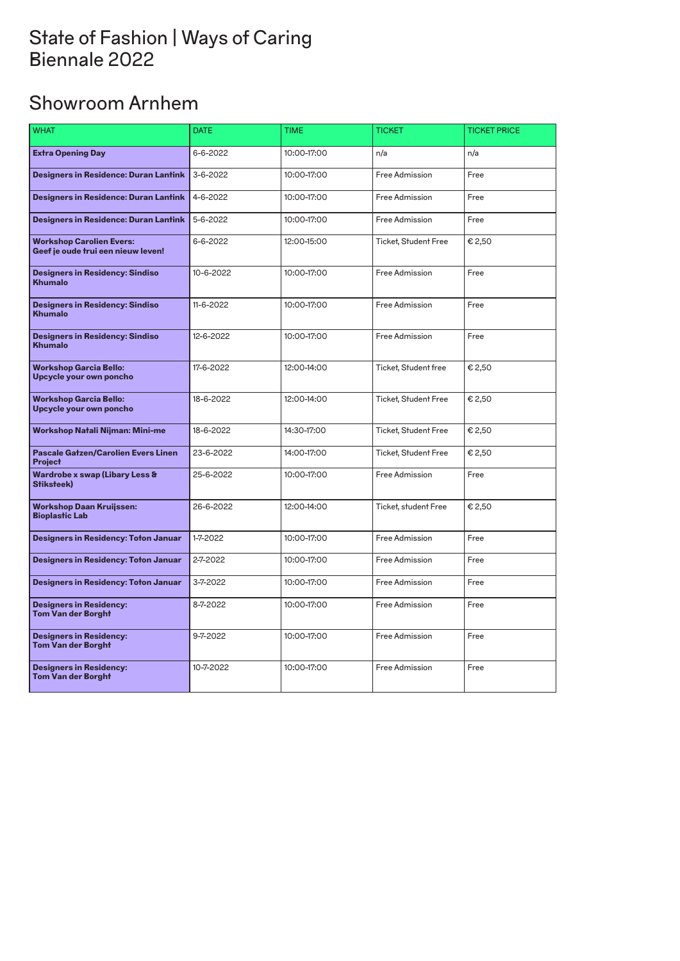# Showroom Arnhem

| <b>WHAT</b>                                                           | <b>DATE</b> | <b>TIME</b> | <b>TICKET</b>               | <b>TICKET PRICE</b> |
|-----------------------------------------------------------------------|-------------|-------------|-----------------------------|---------------------|
| <b>Extra Opening Day</b>                                              | 6-6-2022    | 10:00-17:00 | n/a                         | n/a                 |
| <b>Designers in Residence: Duran Lantink</b>                          | 3-6-2022    | 10:00-17:00 | Free Admission              | Free                |
| <b>Designers in Residence: Duran Lantink</b>                          | 4-6-2022    | 10:00-17:00 | Free Admission              | Free                |
| <b>Designers in Residence: Duran Lantink</b>                          | 5-6-2022    | 10:00-17:00 | Free Admission              | Free                |
| <b>Workshop Carolien Evers:</b><br>Geef je oude trui een nieuw leven! | 6-6-2022    | 12:00-15:00 | <b>Ticket, Student Free</b> | € 2,50              |
| <b>Designers in Residency: Sindiso</b><br><b>Khumalo</b>              | 10-6-2022   | 10:00-17:00 | Free Admission              | Free                |
| <b>Designers in Residency: Sindiso</b><br><b>Khumalo</b>              | 11-6-2022   | 10:00-17:00 | Free Admission              | Free                |
| <b>Designers in Residency: Sindiso</b><br><b>Khumalo</b>              | 12-6-2022   | 10:00-17:00 | Free Admission              | Free                |
| <b>Workshop Garcia Bello:</b><br>Upcycle your own poncho              | 17-6-2022   | 12:00-14:00 | Ticket, Student free        | € 2,50              |
| <b>Workshop Garcia Bello:</b><br>Upcycle your own poncho              | 18-6-2022   | 12:00-14:00 | <b>Ticket, Student Free</b> | € 2,50              |
| <b>Workshop Natali Nijman: Mini-me</b>                                | 18-6-2022   | 14:30-17:00 | <b>Ticket, Student Free</b> | € 2,50              |
| <b>Pascale Gatzen/Carolien Evers Linen</b><br><b>Project</b>          | 23-6-2022   | 14:00-17:00 | <b>Ticket, Student Free</b> | € 2,50              |
| Wardrobe x swap (Libary Less &<br>Stiksteek)                          | 25-6-2022   | 10:00-17:00 | Free Admission              | Free                |
| <b>Workshop Daan Kruijssen:</b><br><b>Bioplastic Lab</b>              | 26-6-2022   | 12:00-14:00 | Ticket, student Free        | € 2,50              |
| <b>Designers in Residency: Toton Januar</b>                           | 1-7-2022    | 10:00-17:00 | Free Admission              | Free                |
| <b>Designers in Residency: Toton Januar</b>                           | 2-7-2022    | 10:00-17:00 | Free Admission              | Free                |
| <b>Designers in Residency: Toton Januar</b>                           | 3-7-2022    | 10:00-17:00 | Free Admission              | Free                |
| <b>Designers in Residency:</b><br><b>Tom Van der Borght</b>           | 8-7-2022    | 10:00-17:00 | Free Admission              | Free                |
| <b>Designers in Residency:</b><br><b>Tom Van der Borght</b>           | 9-7-2022    | 10:00-17:00 | Free Admission              | Free                |
| <b>Designers in Residency:</b><br><b>Tom Van der Borght</b>           | 10-7-2022   | 10:00-17:00 | Free Admission<br>Free      |                     |